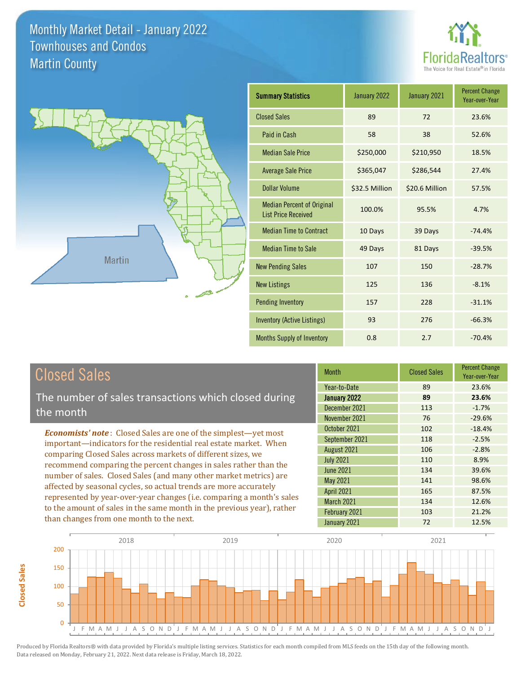



| <b>Summary Statistics</b>                                       | January 2022   | January 2021   | <b>Percent Change</b><br>Year-over-Year |
|-----------------------------------------------------------------|----------------|----------------|-----------------------------------------|
| <b>Closed Sales</b>                                             | 89             | 72             | 23.6%                                   |
| Paid in Cash                                                    | 58             | 38             | 52.6%                                   |
| <b>Median Sale Price</b>                                        | \$250,000      | \$210,950      | 18.5%                                   |
| <b>Average Sale Price</b>                                       | \$365,047      | \$286,544      | 27.4%                                   |
| <b>Dollar Volume</b>                                            | \$32.5 Million | \$20.6 Million | 57.5%                                   |
| <b>Median Percent of Original</b><br><b>List Price Received</b> | 100.0%         | 95.5%          | 4.7%                                    |
| <b>Median Time to Contract</b>                                  | 10 Days        | 39 Days        | $-74.4%$                                |
| <b>Median Time to Sale</b>                                      | 49 Days        | 81 Days        | $-39.5%$                                |
| <b>New Pending Sales</b>                                        | 107            | 150            | $-28.7%$                                |
| <b>New Listings</b>                                             | 125            | 136            | $-8.1%$                                 |
| <b>Pending Inventory</b>                                        | 157            | 228            | $-31.1%$                                |
| <b>Inventory (Active Listings)</b>                              | 93             | 276            | $-66.3%$                                |
| Months Supply of Inventory                                      | 0.8            | 2.7            | $-70.4%$                                |

**Closed Sales**

**Closed Sales** 

The number of sales transactions which closed during the month

*Economists' note* : Closed Sales are one of the simplest—yet most important—indicators for the residential real estate market. When comparing Closed Sales across markets of different sizes, we recommend comparing the percent changes in sales rather than the number of sales. Closed Sales (and many other market metrics) are affected by seasonal cycles, so actual trends are more accurately represented by year-over-year changes (i.e. comparing a month's sales to the amount of sales in the same month in the previous year), rather than changes from one month to the next.

| <b>Month</b>      | <b>Closed Sales</b> | <b>Percent Change</b><br>Year-over-Year |
|-------------------|---------------------|-----------------------------------------|
| Year-to-Date      | 89                  | 23.6%                                   |
| January 2022      | 89                  | 23.6%                                   |
| December 2021     | 113                 | $-1.7%$                                 |
| November 2021     | 76                  | $-29.6%$                                |
| October 2021      | 102                 | $-18.4%$                                |
| September 2021    | 118                 | $-2.5%$                                 |
| August 2021       | 106                 | $-2.8%$                                 |
| <b>July 2021</b>  | 110                 | 8.9%                                    |
| <b>June 2021</b>  | 134                 | 39.6%                                   |
| May 2021          | 141                 | 98.6%                                   |
| <b>April 2021</b> | 165                 | 87.5%                                   |
| March 2021        | 134                 | 12.6%                                   |
| February 2021     | 103                 | 21.2%                                   |
| January 2021      | 72                  | 12.5%                                   |

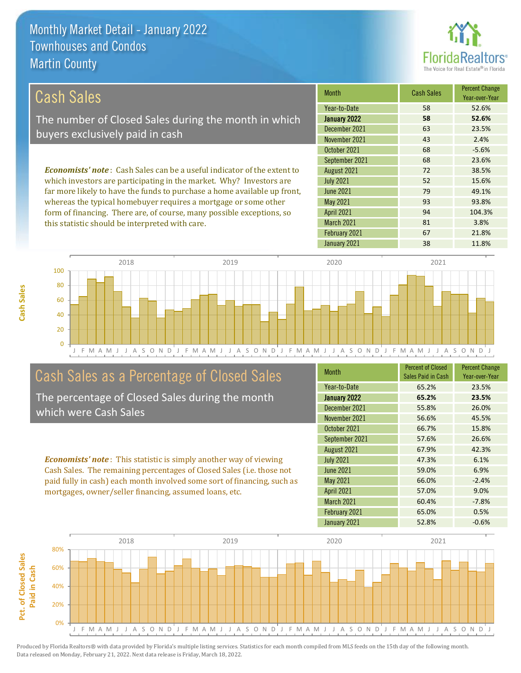this statistic should be interpreted with care.



81 3.8%

| Cash Sales                                                                     | <b>Month</b>      | <b>Cash Sales</b> | <b>Percent Change</b><br>Year-over-Year |
|--------------------------------------------------------------------------------|-------------------|-------------------|-----------------------------------------|
|                                                                                | Year-to-Date      | 58                | 52.6%                                   |
| The number of Closed Sales during the month in which                           | January 2022      | 58                | 52.6%                                   |
| buyers exclusively paid in cash                                                | December 2021     | 63                | 23.5%                                   |
|                                                                                | November 2021     | 43                | 2.4%                                    |
|                                                                                | October 2021      | 68                | $-5.6%$                                 |
|                                                                                | September 2021    | 68                | 23.6%                                   |
| <b>Economists' note:</b> Cash Sales can be a useful indicator of the extent to | August 2021       | 72                | 38.5%                                   |
| which investors are participating in the market. Why? Investors are            | <b>July 2021</b>  | 52                | 15.6%                                   |
| far more likely to have the funds to purchase a home available up front,       | June 2021         | 79                | 49.1%                                   |
| whereas the typical homebuyer requires a mortgage or some other                | May 2021          | 93                | 93.8%                                   |
| form of financing. There are, of course, many possible exceptions, so          | <b>April 2021</b> | 94                | 104.3%                                  |

J F M A M J J A S O N D J F M A M J J A S O N D J F M A M J J A S O N D J F M A M J J A S O N D J 0 20 40 60 80 100 2018 2019 2020 2021

# Cash Sales as a Percentage of Closed Sales

The percentage of Closed Sales during the month which were Cash Sales

*Economists' note* : This statistic is simply another way of viewing Cash Sales. The remaining percentages of Closed Sales (i.e. those not paid fully in cash) each month involved some sort of financing, such as mortgages, owner/seller financing, assumed loans, etc.

| <b>Month</b>      | <b>Percent of Closed</b><br>Sales Paid in Cash | <b>Percent Change</b><br>Year-over-Year |
|-------------------|------------------------------------------------|-----------------------------------------|
| Year-to-Date      | 65.2%                                          | 23.5%                                   |
| January 2022      | 65.2%                                          | 23.5%                                   |
| December 2021     | 55.8%                                          | 26.0%                                   |
| November 2021     | 56.6%                                          | 45.5%                                   |
| October 2021      | 66.7%                                          | 15.8%                                   |
| September 2021    | 57.6%                                          | 26.6%                                   |
| August 2021       | 67.9%                                          | 42.3%                                   |
| <b>July 2021</b>  | 47.3%                                          | 6.1%                                    |
| <b>June 2021</b>  | 59.0%                                          | 6.9%                                    |
| <b>May 2021</b>   | 66.0%                                          | $-2.4%$                                 |
| <b>April 2021</b> | 57.0%                                          | 9.0%                                    |
| March 2021        | 60.4%                                          | $-7.8%$                                 |
| February 2021     | 65.0%                                          | 0.5%                                    |
| January 2021      | 52.8%                                          | $-0.6%$                                 |

January 2021 **38** 11.8%

February 2021 67 67 21.8%

March 2021

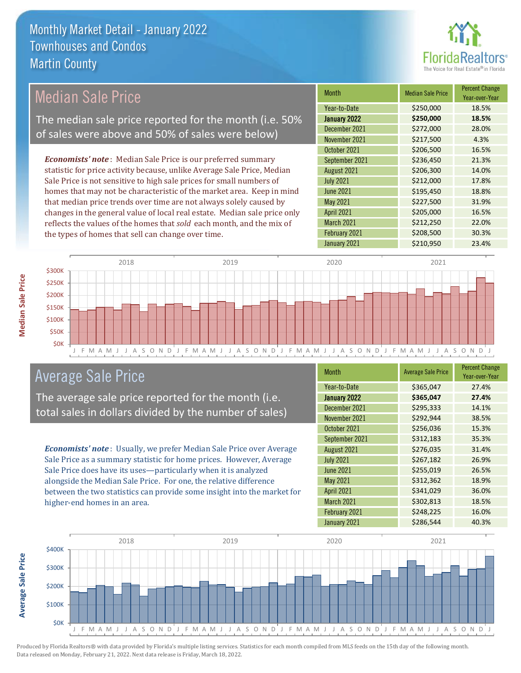

#### Month Median Sale Price Percent Change Year-over-Year January 2022 **\$250,000 18.5%** Year-to-Date \$250,000 18.5% June 2021 **\$195,450** \$195,450 December 2021 **\$272,000** 28.0% November 2021 **\$217,500** 4.3% August 2021 \$206,300 14.0% July 2021 **5212,000 17.8%** October 2021 **\$206,500** 16.5% September 2021 **\$236,450** 21.3% May 2021 **\$227,500** \$207,500 31.9% April 2021 **\$205,000** \$205,000 16.5% March 2021 **\$212,250** 22.0% February 2021 **\$208,500** \$208,500 30.3% January 2021 **\$210,950** 23.4% *Economists' note* : Median Sale Price is our preferred summary statistic for price activity because, unlike Average Sale Price, Median Sale Price is not sensitive to high sale prices for small numbers of homes that may not be characteristic of the market area. Keep in mind that median price trends over time are not always solely caused by changes in the general value of local real estate. Median sale price only reflects the values of the homes that *sold* each month, and the mix of the types of homes that sell can change over time. Median Sale Price The median sale price reported for the month (i.e. 50% of sales were above and 50% of sales were below)



## Average Sale Price

The average sale price reported for the month (i.e. total sales in dollars divided by the number of sales)

*Economists' note* : Usually, we prefer Median Sale Price over Average Sale Price as a summary statistic for home prices. However, Average Sale Price does have its uses—particularly when it is analyzed alongside the Median Sale Price. For one, the relative difference between the two statistics can provide some insight into the market for higher-end homes in an area.

| <b>Month</b>     | <b>Average Sale Price</b> | <b>Percent Change</b><br>Year-over-Year |
|------------------|---------------------------|-----------------------------------------|
| Year-to-Date     | \$365,047                 | 27.4%                                   |
| January 2022     | \$365,047                 | 27.4%                                   |
| December 2021    | \$295,333                 | 14.1%                                   |
| November 2021    | \$292,944                 | 38.5%                                   |
| October 2021     | \$256,036                 | 15.3%                                   |
| September 2021   | \$312,183                 | 35.3%                                   |
| August 2021      | \$276,035                 | 31.4%                                   |
| <b>July 2021</b> | \$267,182                 | 26.9%                                   |
| <b>June 2021</b> | \$255,019                 | 26.5%                                   |
| May 2021         | \$312,362                 | 18.9%                                   |
| April 2021       | \$341,029                 | 36.0%                                   |
| March 2021       | \$302,813                 | 18.5%                                   |
| February 2021    | \$248,225                 | 16.0%                                   |
| January 2021     | \$286,544                 | 40.3%                                   |

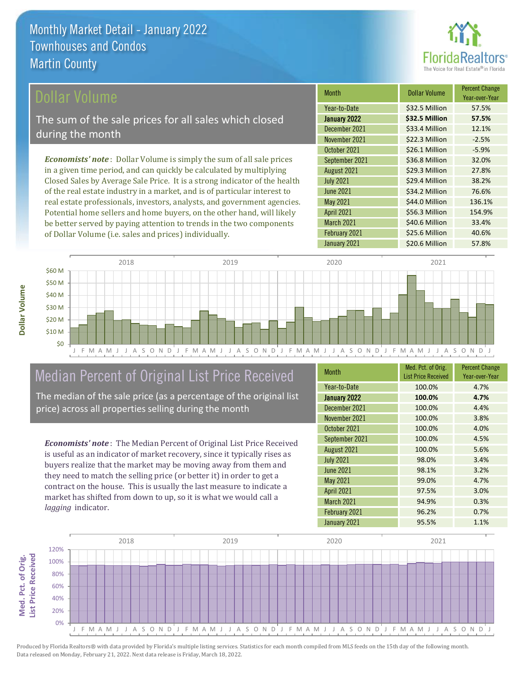

Year-over-Year

76.6%

\$56.3 Million 154.9%

\$40.6 Million 33.4%

Month **Dollar Volume** Percent Change

January 2022 **\$32.5 Million 57.5%** Year-to-Date \$32.5 Million 57.5%

December 2021 **\$33.4 Million** 12.1% November 2021 **\$22.3 Million** -2.5%

October 2021 \$26.1 Million -5.9% September 2021 \$36.8 Million 32.0% August 2021 **\$29.3 Million** 27.8% July 2021 **\$29.4 Million 38.2%** 

January 2021 **\$20.6 Million** 57.8%

February 2021 **\$25.6 Million** 40.6%

May 2021 **\$44.0 Million** 136.1%

June 2021 **\$34.2 Million** 

March 2021

April 2021

#### ollar Volume

The sum of the sale prices for all sales which closed during the month

*Economists' note* : Dollar Volume is simply the sum of all sale prices in a given time period, and can quickly be calculated by multiplying Closed Sales by Average Sale Price. It is a strong indicator of the health of the real estate industry in a market, and is of particular interest to real estate professionals, investors, analysts, and government agencies. Potential home sellers and home buyers, on the other hand, will likely be better served by paying attention to trends in the two components of Dollar Volume (i.e. sales and prices) individually.

Dollar Volume **Dollar Volume**



# Median Percent of Original List Price Received

The median of the sale price (as a percentage of the original list price) across all properties selling during the month

*Economists' note* : The Median Percent of Original List Price Received is useful as an indicator of market recovery, since it typically rises as buyers realize that the market may be moving away from them and they need to match the selling price (or better it) in order to get a contract on the house. This is usually the last measure to indicate a market has shifted from down to up, so it is what we would call a *lagging* indicator.

| <b>Month</b>      | Med. Pct. of Orig.<br><b>List Price Received</b> | <b>Percent Change</b><br>Year-over-Year |
|-------------------|--------------------------------------------------|-----------------------------------------|
| Year-to-Date      | 100.0%                                           | 4.7%                                    |
| January 2022      | 100.0%                                           | 4.7%                                    |
| December 2021     | 100.0%                                           | 4.4%                                    |
| November 2021     | 100.0%                                           | 3.8%                                    |
| October 2021      | 100.0%                                           | 4.0%                                    |
| September 2021    | 100.0%                                           | 4.5%                                    |
| August 2021       | 100.0%                                           | 5.6%                                    |
| <b>July 2021</b>  | 98.0%                                            | 3.4%                                    |
| <b>June 2021</b>  | 98.1%                                            | 3.2%                                    |
| <b>May 2021</b>   | 99.0%                                            | 4.7%                                    |
| <b>April 2021</b> | 97.5%                                            | 3.0%                                    |
| March 2021        | 94.9%                                            | 0.3%                                    |
| February 2021     | 96.2%                                            | 0.7%                                    |
| January 2021      | 95.5%                                            | 1.1%                                    |

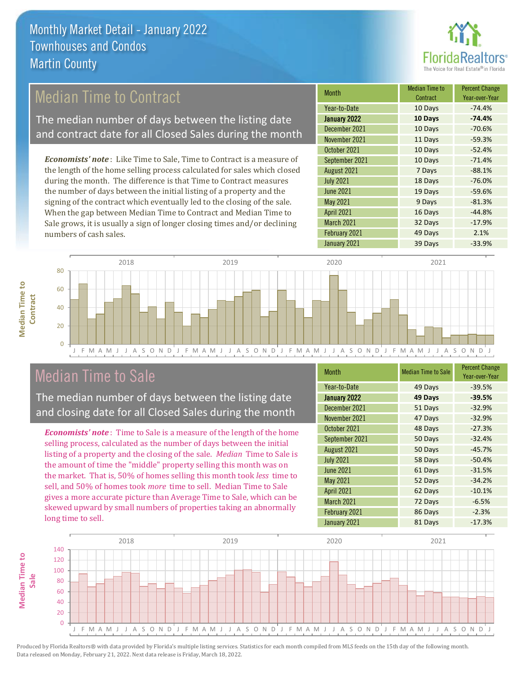

## Median Time to Contract

The median number of days between the listing date and contract date for all Closed Sales during the month

*Economists' note* : Like Time to Sale, Time to Contract is a measure of the length of the home selling process calculated for sales which closed during the month. The difference is that Time to Contract measures the number of days between the initial listing of a property and the signing of the contract which eventually led to the closing of the sale. When the gap between Median Time to Contract and Median Time to Sale grows, it is usually a sign of longer closing times and/or declining numbers of cash sales.

| <b>Month</b>        | <b>Median Time to</b><br>Contract | <b>Percent Change</b><br>Year-over-Year |
|---------------------|-----------------------------------|-----------------------------------------|
| Year-to-Date        | 10 Days                           | $-74.4%$                                |
| <b>January 2022</b> | 10 Days                           | $-74.4%$                                |
| December 2021       | 10 Days                           | $-70.6%$                                |
| November 2021       | 11 Days                           | $-59.3%$                                |
| October 2021        | 10 Days                           | $-52.4%$                                |
| September 2021      | 10 Days                           | $-71.4%$                                |
| August 2021         | 7 Days                            | $-88.1%$                                |
| <b>July 2021</b>    | 18 Days                           | $-76.0%$                                |
| <b>June 2021</b>    | 19 Days                           | $-59.6%$                                |
| May 2021            | 9 Days                            | $-81.3%$                                |
| <b>April 2021</b>   | 16 Days                           | $-44.8%$                                |
| March 2021          | 32 Days                           | $-17.9%$                                |
| February 2021       | 49 Days                           | 2.1%                                    |
| January 2021        | 39 Days                           | $-33.9%$                                |



0

**Median Time to** 

**Median Time to** 



### Median Time to Sale

The median number of days between the listing date and closing date for all Closed Sales during the month

*Economists' note* : Time to Sale is a measure of the length of the home selling process, calculated as the number of days between the initial listing of a property and the closing of the sale. *Median* Time to Sale is the amount of time the "middle" property selling this month was on the market. That is, 50% of homes selling this month took *less* time to sell, and 50% of homes took *more* time to sell. Median Time to Sale gives a more accurate picture than Average Time to Sale, which can be skewed upward by small numbers of properties taking an abnormally long time to sell.

| <b>Month</b>      | <b>Median Time to Sale</b> | <b>Percent Change</b><br>Year-over-Year |
|-------------------|----------------------------|-----------------------------------------|
| Year-to-Date      | 49 Days                    | $-39.5%$                                |
| January 2022      | 49 Days                    | $-39.5%$                                |
| December 2021     | 51 Days                    | $-32.9%$                                |
| November 2021     | 47 Days                    | $-32.9%$                                |
| October 2021      | 48 Days                    | $-27.3%$                                |
| September 2021    | 50 Days                    | $-32.4%$                                |
| August 2021       | 50 Days                    | $-45.7%$                                |
| <b>July 2021</b>  | 58 Days                    | $-50.4%$                                |
| <b>June 2021</b>  | 61 Days                    | $-31.5%$                                |
| May 2021          | 52 Days                    | $-34.2%$                                |
| <b>April 2021</b> | 62 Days                    | $-10.1%$                                |
| March 2021        | 72 Days                    | $-6.5%$                                 |
| February 2021     | 86 Days                    | $-2.3%$                                 |
| January 2021      | 81 Days                    | $-17.3%$                                |

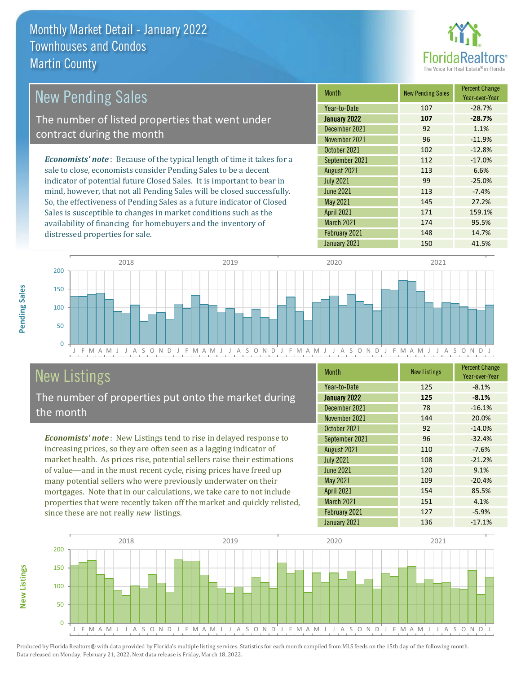

| New Pending Sales                                                              | <b>Month</b>      | <b>New Pending Sales</b> | <b>Percent Change</b><br>Year-over-Year |
|--------------------------------------------------------------------------------|-------------------|--------------------------|-----------------------------------------|
|                                                                                | Year-to-Date      | 107                      | $-28.7%$                                |
| The number of listed properties that went under                                | January 2022      | 107                      | $-28.7%$                                |
| contract during the month                                                      | December 2021     | 92                       | 1.1%                                    |
|                                                                                | November 2021     | 96                       | $-11.9%$                                |
|                                                                                | October 2021      | 102                      | $-12.8%$                                |
| <b>Economists' note</b> : Because of the typical length of time it takes for a | September 2021    | 112                      | $-17.0%$                                |
| sale to close, economists consider Pending Sales to be a decent                | August 2021       | 113                      | 6.6%                                    |
| indicator of potential future Closed Sales. It is important to bear in         | <b>July 2021</b>  | 99                       | $-25.0%$                                |
| mind, however, that not all Pending Sales will be closed successfully.         | <b>June 2021</b>  | 113                      | $-7.4%$                                 |
| So, the effectiveness of Pending Sales as a future indicator of Closed         | May 2021          | 145                      | 27.2%                                   |
| Sales is susceptible to changes in market conditions such as the               | <b>April 2021</b> | 171                      | 159.1%                                  |



# New Listings

distressed properties for sale.

The number of properties put onto the market during the month

availability of financing for homebuyers and the inventory of

*Economists' note* : New Listings tend to rise in delayed response to increasing prices, so they are often seen as a lagging indicator of market health. As prices rise, potential sellers raise their estimations of value—and in the most recent cycle, rising prices have freed up many potential sellers who were previously underwater on their mortgages. Note that in our calculations, we take care to not include properties that were recently taken off the market and quickly relisted, since these are not really *new* listings.

| <b>Month</b>      | <b>New Listings</b> | <b>Percent Change</b><br>Year-over-Year |
|-------------------|---------------------|-----------------------------------------|
| Year-to-Date      | 125                 | $-8.1%$                                 |
| January 2022      | 125                 | $-8.1%$                                 |
| December 2021     | 78                  | $-16.1%$                                |
| November 2021     | 144                 | 20.0%                                   |
| October 2021      | 92                  | $-14.0%$                                |
| September 2021    | 96                  | $-32.4%$                                |
| August 2021       | 110                 | $-7.6%$                                 |
| <b>July 2021</b>  | 108                 | $-21.2%$                                |
| <b>June 2021</b>  | 120                 | 9.1%                                    |
| May 2021          | 109                 | $-20.4%$                                |
| <b>April 2021</b> | 154                 | 85.5%                                   |
| March 2021        | 151                 | 4.1%                                    |
| February 2021     | 127                 | $-5.9%$                                 |
| January 2021      | 136                 | $-17.1%$                                |

March 2021 174 95.5% February 2021 148 148 14.7% January 2021 150 150 41.5%



Produced by Florida Realtors® with data provided by Florida's multiple listing services. Statistics for each month compiled from MLS feeds on the 15th day of the following month. Data released on Monday, February 21, 2022. Next data release is Friday, March 18, 2022.

**New Listings**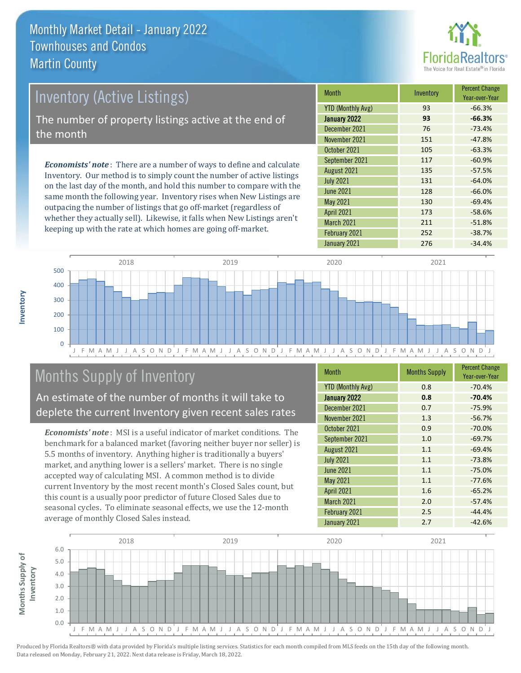

# Inventory (Active Listings) The number of property listings active at the end of the month

*Economists' note* : There are a number of ways to define and calculate Inventory. Our method is to simply count the number of active listings on the last day of the month, and hold this number to compare with the same month the following year. Inventory rises when New Listings are outpacing the number of listings that go off-market (regardless of whether they actually sell). Likewise, it falls when New Listings aren't keeping up with the rate at which homes are going off-market.

| <b>Month</b>             | Inventory | <b>Percent Change</b><br>Year-over-Year |
|--------------------------|-----------|-----------------------------------------|
| <b>YTD (Monthly Avg)</b> | 93        | $-66.3%$                                |
| <b>January 2022</b>      | 93        | $-66.3%$                                |
| December 2021            | 76        | $-73.4%$                                |
| November 2021            | 151       | $-47.8%$                                |
| October 2021             | 105       | $-63.3%$                                |
| September 2021           | 117       | $-60.9%$                                |
| August 2021              | 135       | $-57.5%$                                |
| <b>July 2021</b>         | 131       | $-64.0%$                                |
| <b>June 2021</b>         | 128       | $-66.0%$                                |
| <b>May 2021</b>          | 130       | $-69.4%$                                |
| <b>April 2021</b>        | 173       | $-58.6%$                                |
| <b>March 2021</b>        | 211       | $-51.8%$                                |
| February 2021            | 252       | $-38.7%$                                |
| January 2021             | 276       | $-34.4%$                                |



# Months Supply of Inventory

An estimate of the number of months it will take to deplete the current Inventory given recent sales rates

*Economists' note* : MSI is a useful indicator of market conditions. The benchmark for a balanced market (favoring neither buyer nor seller) is 5.5 months of inventory. Anything higher is traditionally a buyers' market, and anything lower is a sellers' market. There is no single accepted way of calculating MSI. A common method is to divide current Inventory by the most recent month's Closed Sales count, but this count is a usually poor predictor of future Closed Sales due to seasonal cycles. To eliminate seasonal effects, we use the 12-month average of monthly Closed Sales instead.

| <b>Month</b>             | <b>Months Supply</b> | <b>Percent Change</b><br>Year-over-Year |
|--------------------------|----------------------|-----------------------------------------|
| <b>YTD (Monthly Avg)</b> | 0.8                  | $-70.4%$                                |
| <b>January 2022</b>      | 0.8                  | $-70.4%$                                |
| December 2021            | 0.7                  | $-75.9%$                                |
| November 2021            | 1.3                  | $-56.7%$                                |
| October 2021             | 0.9                  | $-70.0%$                                |
| September 2021           | 1.0                  | $-69.7%$                                |
| August 2021              | 1.1                  | $-69.4%$                                |
| <b>July 2021</b>         | 1.1                  | $-73.8%$                                |
| <b>June 2021</b>         | 1.1                  | $-75.0%$                                |
| <b>May 2021</b>          | 1.1                  | $-77.6%$                                |
| <b>April 2021</b>        | 1.6                  | $-65.2%$                                |
| March 2021               | 2.0                  | $-57.4%$                                |
| February 2021            | 2.5                  | $-44.4%$                                |
| January 2021             | 2.7                  | $-42.6%$                                |

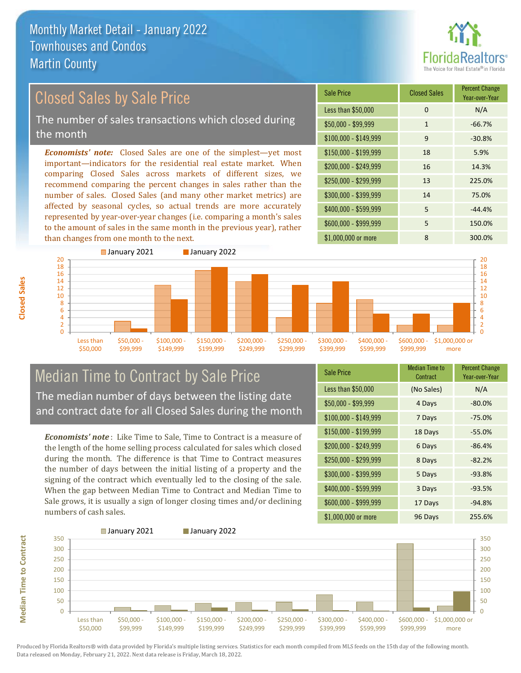

#### *Economists' note:* Closed Sales are one of the simplest—yet most important—indicators for the residential real estate market. When comparing Closed Sales across markets of different sizes, we recommend comparing the percent changes in sales rather than the number of sales. Closed Sales (and many other market metrics) are affected by seasonal cycles, so actual trends are more accurately represented by year-over-year changes (i.e. comparing a month's sales to the amount of sales in the same month in the previous year), rather than changes from one month to the next. \$1,000,000 or more 8 300.0% \$250,000 - \$299,999 13 225.0% \$300,000 - \$399,999 14 75.0% \$400,000 - \$599,999 5 -44.4% \$600,000 - \$999,999 5 150.0% \$150,000 - \$199,999 18 5.9% \$200,000 - \$249,999 16 14.3%  $$100,000 - $149,999$  9 -30.8% Sale Price Closed Sales Percent Change Year-over-Year Less than \$50,000 0 0 N/A  $$50,000 - $99,999$  1 -66.7% Closed Sales by Sale Price The number of sales transactions which closed during the month



### Median Time to Contract by Sale Price The median number of days between the listing date and contract date for all Closed Sales during the month

*Economists' note* : Like Time to Sale, Time to Contract is a measure of the length of the home selling process calculated for sales which closed during the month. The difference is that Time to Contract measures the number of days between the initial listing of a property and the signing of the contract which eventually led to the closing of the sale. When the gap between Median Time to Contract and Median Time to Sale grows, it is usually a sign of longer closing times and/or declining numbers of cash sales.

| <b>Sale Price</b>     | <b>Median Time to</b><br>Contract | <b>Percent Change</b><br>Year-over-Year |
|-----------------------|-----------------------------------|-----------------------------------------|
| Less than \$50,000    | (No Sales)                        | N/A                                     |
| $$50,000 - $99,999$   | 4 Days                            | $-80.0\%$                               |
| $$100,000 - $149,999$ | 7 Days                            | $-75.0%$                                |
| \$150,000 - \$199,999 | 18 Days                           | $-55.0%$                                |
| \$200,000 - \$249,999 | 6 Days                            | $-86.4%$                                |
| \$250,000 - \$299,999 | 8 Days                            | $-82.2%$                                |
| \$300,000 - \$399,999 | 5 Days                            | $-93.8%$                                |
| \$400,000 - \$599,999 | 3 Days                            | $-93.5%$                                |
| \$600,000 - \$999,999 | 17 Days                           | $-94.8%$                                |
| \$1,000,000 or more   | 96 Days                           | 255.6%                                  |

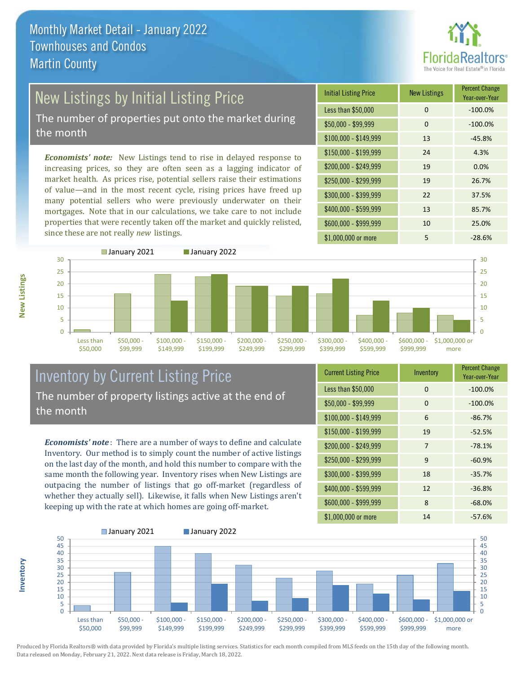

# New Listings by Initial Listing Price

The number of properties put onto the market during the month

*Economists' note:* New Listings tend to rise in delayed response to increasing prices, so they are often seen as a lagging indicator of market health. As prices rise, potential sellers raise their estimations of value—and in the most recent cycle, rising prices have freed up many potential sellers who were previously underwater on their mortgages. Note that in our calculations, we take care to not include properties that were recently taken off the market and quickly relisted, since these are not really *new* listings.





#### Inventory by Current Listing Price The number of property listings active at the end of the month

*Economists' note* : There are a number of ways to define and calculate Inventory. Our method is to simply count the number of active listings on the last day of the month, and hold this number to compare with the same month the following year. Inventory rises when New Listings are outpacing the number of listings that go off-market (regardless of whether they actually sell). Likewise, it falls when New Listings aren't keeping up with the rate at which homes are going off-market.

| <b>Current Listing Price</b> | Inventory | <b>Percent Change</b><br>Year-over-Year |
|------------------------------|-----------|-----------------------------------------|
| Less than \$50,000           | 0         | $-100.0%$                               |
| $$50,000 - $99,999$          | 0         | $-100.0%$                               |
| $$100,000 - $149,999$        | 6         | $-86.7%$                                |
| $$150,000 - $199,999$        | 19        | $-52.5%$                                |
| \$200,000 - \$249,999        | 7         | $-78.1%$                                |
| \$250,000 - \$299,999        | 9         | $-60.9%$                                |
| \$300,000 - \$399,999        | 18        | $-35.7%$                                |
| $$400,000 - $599,999$        | 12        | $-36.8%$                                |
| \$600,000 - \$999,999        | 8         | $-68.0%$                                |
| \$1,000,000 or more          | 14        | $-57.6%$                                |



Produced by Florida Realtors® with data provided by Florida's multiple listing services. Statistics for each month compiled from MLS feeds on the 15th day of the following month. Data released on Monday, February 21, 2022. Next data release is Friday, March 18, 2022.

**Inventory**